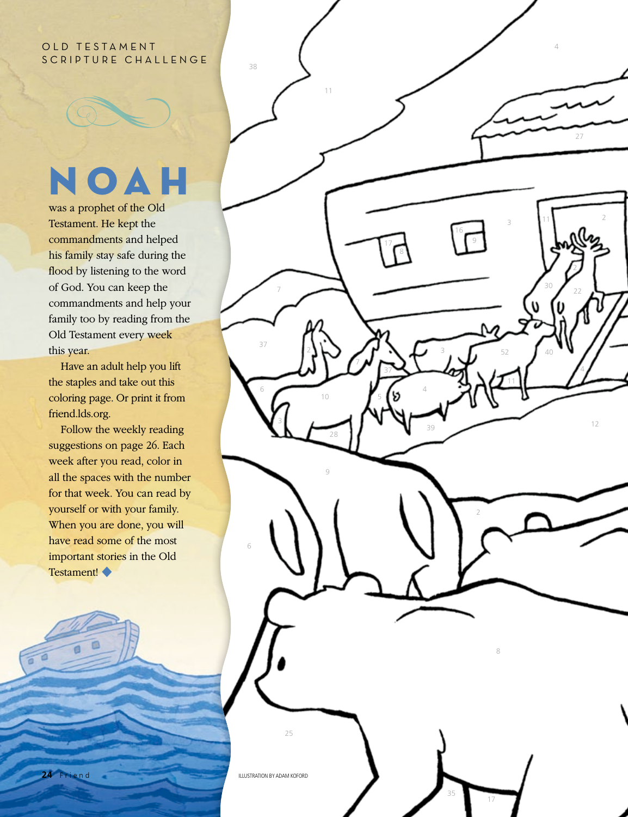## OLD TESTAMENT SCRIPTURE CHALLENGE

## NOAH

2

12

4

2

 $30 / 22$ 

40

52

3

8

17

35

2

11

27

4

11

was a prophet of the Old Testament. He kept the commandments and helped his family stay safe during the flood by listening to the word of God. You can keep the commandments and help your family too by reading from the Old Testament every week this year.

Have an adult help you lift the staples and take out this coloring page. Or print it from friend.lds.org.

2

11

7

3

37

6

6

25

ILLUSTRATION BY ADAM KOFORD

38

7

28

9

10

37

5

39

4

3

17 8 16 9

Follow the weekly reading suggestions on page 26. Each week after you read, color in all the spaces with the number for that week. You can read by yourself or with your family. When you are done, you will have read some of the most important stories in the Old Testament! ◆

**24** Friend